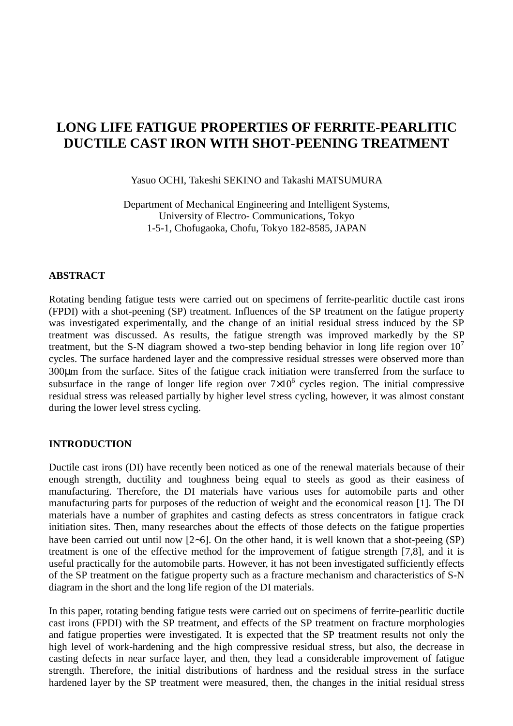# **LONG LIFE FATIGUE PROPERTIES OF FERRITE-PEARLITIC DUCTILE CAST IRON WITH SHOT-PEENING TREATMENT**

Yasuo OCHI, Takeshi SEKINO and Takashi MATSUMURA

Department of Mechanical Engineering and Intelligent Systems, University of Electro- Communications, Tokyo 1-5-1, Chofugaoka, Chofu, Tokyo 182-8585, JAPAN

### **ABSTRACT**

Rotating bending fatigue tests were carried out on specimens of ferrite-pearlitic ductile cast irons (FPDI) with a shot-peening (SP) treatment. Influences of the SP treatment on the fatigue property was investigated experimentally, and the change of an initial residual stress induced by the SP treatment was discussed. As results, the fatigue strength was improved markedly by the SP treatment, but the S-N diagram showed a two-step bending behavior in long life region over  $10<sup>7</sup>$ cycles. The surface hardened layer and the compressive residual stresses were observed more than 300µm from the surface. Sites of the fatigue crack initiation were transferred from the surface to subsurface in the range of longer life region over  $7\times10^6$  cycles region. The initial compressive residual stress was released partially by higher level stress cycling, however, it was almost constant during the lower level stress cycling.

# **INTRODUCTION**

Ductile cast irons (DI) have recently been noticed as one of the renewal materials because of their enough strength, ductility and toughness being equal to steels as good as their easiness of manufacturing. Therefore, the DI materials have various uses for automobile parts and other manufacturing parts for purposes of the reduction of weight and the economical reason [1]. The DI materials have a number of graphites and casting defects as stress concentrators in fatigue crack initiation sites. Then, many researches about the effects of those defects on the fatigue properties have been carried out until now [2∼6]. On the other hand, it is well known that a shot-peeing (SP) treatment is one of the effective method for the improvement of fatigue strength [7,8], and it is useful practically for the automobile parts. However, it has not been investigated sufficiently effects of the SP treatment on the fatigue property such as a fracture mechanism and characteristics of S-N diagram in the short and the long life region of the DI materials.

In this paper, rotating bending fatigue tests were carried out on specimens of ferrite-pearlitic ductile cast irons (FPDI) with the SP treatment, and effects of the SP treatment on fracture morphologies and fatigue properties were investigated. It is expected that the SP treatment results not only the high level of work-hardening and the high compressive residual stress, but also, the decrease in casting defects in near surface layer, and then, they lead a considerable improvement of fatigue strength. Therefore, the initial distributions of hardness and the residual stress in the surface hardened layer by the SP treatment were measured, then, the changes in the initial residual stress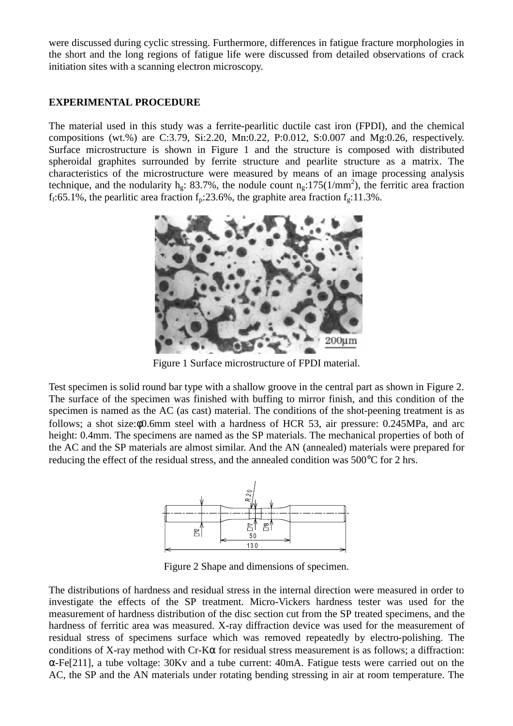were discussed during cyclic stressing. Furthermore, differences in fatigue fracture morphologies in the short and the long regions of fatigue life were discussed from detailed observations of crack initiation sites with a scanning electron microscopy.

# **EXPERIMENTAL PROCEDURE**

The material used in this study was a ferrite-pearlitic ductile cast iron (FPDI), and the chemical compositions (wt.%) are C:3.79, Si:2.20, Mn:0.22, P:0.012, S:0.007 and Mg:0.26, respectively. Surface microstructure is shown in Figure 1 and the structure is composed with distributed spheroidal graphites surrounded by ferrite structure and pearlite structure as a matrix. The characteristics of the microstructure were measured by means of an image processing analysis technique, and the nodularity h<sub>g</sub>: 83.7%, the nodule count n<sub>g</sub>:175(1/mm<sup>2</sup>), the ferritic area fraction f<sub>f</sub>:65.1%, the pearlitic area fraction  $f_p$ :23.6%, the graphite area fraction  $f_g$ :11.3%.



Figure 1 Surface microstructure of FPDI material.

Test specimen is solid round bar type with a shallow groove in the central part as shown in Figure 2. The surface of the specimen was finished with buffing to mirror finish, and this condition of the specimen is named as the AC (as cast) material. The conditions of the shot-peening treatment is as follows; a shot size:φ0.6mm steel with a hardness of HCR 53, air pressure: 0.245MPa, and arc height: 0.4mm. The specimens are named as the SP materials. The mechanical properties of both of the AC and the SP materials are almost similar. And the AN (annealed) materials were prepared for reducing the effect of the residual stress, and the annealed condition was 500°C for 2 hrs.



Figure 2 Shape and dimensions of specimen.

The distributions of hardness and residual stress in the internal direction were measured in order to investigate the effects of the SP treatment. Micro-Vickers hardness tester was used for the measurement of hardness distribution of the disc section cut from the SP treated specimens, and the hardness of ferritic area was measured. X-ray diffraction device was used for the measurement of residual stress of specimens surface which was removed repeatedly by electro-polishing. The conditions of X-ray method with Cr-Kα for residual stress measurement is as follows; a diffraction: α-Fe[211], a tube voltage: 30Kv and a tube current: 40mA. Fatigue tests were carried out on the Figure 2 Shape and dimensions of specimen.<br>
The distributions of hardness and residual stress in the internal direction were measured in order to<br>
investigate the effects of the SP treatment. Micro-Vickers hardness tester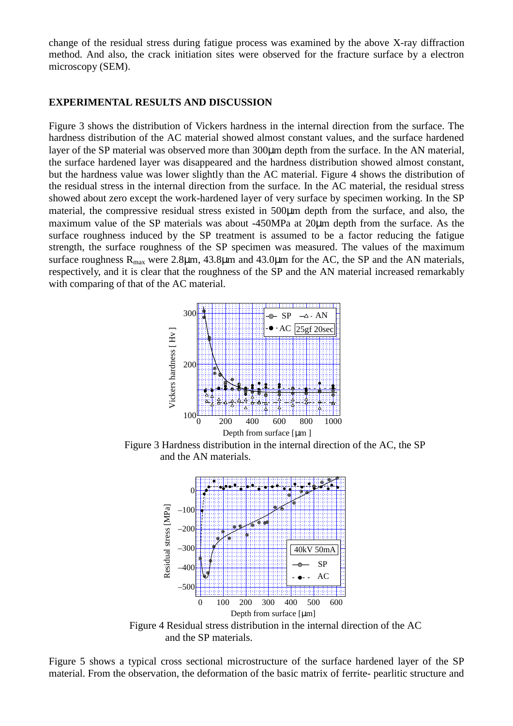change of the residual stress during fatigue process was examined by the above X-ray diffraction method. And also, the crack initiation sites were observed for the fracture surface by a electron microscopy (SEM).

# **EXPERIMENTAL RESULTS AND DISCUSSION**

Figure 3 shows the distribution of Vickers hardness in the internal direction from the surface. The hardness distribution of the AC material showed almost constant values, and the surface hardened layer of the SP material was observed more than 300µm depth from the surface. In the AN material, the surface hardened layer was disappeared and the hardness distribution showed almost constant, but the hardness value was lower slightly than the AC material. Figure 4 shows the distribution of the residual stress in the internal direction from the surface. In the AC material, the residual stress showed about zero except the work-hardened layer of very surface by specimen working. In the SP material, the compressive residual stress existed in 500µm depth from the surface, and also, the maximum value of the SP materials was about -450MPa at 20µm depth from the surface. As the surface roughness induced by the SP treatment is assumed to be a factor reducing the fatigue strength, the surface roughness of the SP specimen was measured. The values of the maximum surface roughness  $R_{\text{max}}$  were 2.8um, 43.8um and 43.0um for the AC, the SP and the AN materials, respectively, and it is clear that the roughness of the SP and the AN material increased remarkably with comparing of that of the AC material.



Figure 3 Hardness distribution in the internal direction of the AC, the SP and the AN materials.



Figure 4 Residual stress distribution in the internal direction of the AC and the SP materials.

Figure 5 shows a typical cross sectional microstructure of the surface hardened layer of the SP material. From the observation, the deformation of the basic matrix of ferrite- pearlitic structure and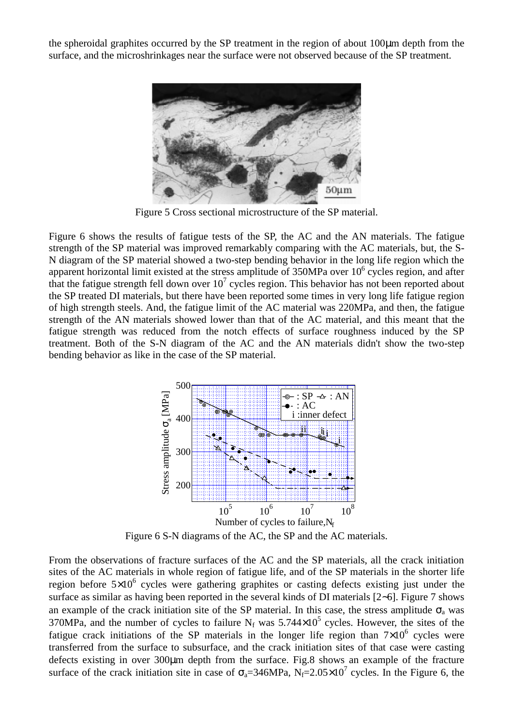the spheroidal graphites occurred by the SP treatment in the region of about 100µm depth from the surface, and the microshrinkages near the surface were not observed because of the SP treatment.



Figure 5 Cross sectional microstructure of the SP material.

Figure 6 shows the results of fatigue tests of the SP, the AC and the AN materials. The fatigue strength of the SP material was improved remarkably comparing with the AC materials, but, the S-N diagram of the SP material showed a two-step bending behavior in the long life region which the apparent horizontal limit existed at the stress amplitude of  $350MPa$  over  $10<sup>6</sup>$  cycles region, and after that the fatigue strength fell down over  $10<sup>7</sup>$  cycles region. This behavior has not been reported about the SP treated DI materials, but there have been reported some times in very long life fatigue region of high strength steels. And, the fatigue limit of the AC material was 220MPa, and then, the fatigue strength of the AN materials showed lower than that of the AC material, and this meant that the fatigue strength was reduced from the notch effects of surface roughness induced by the SP treatment. Both of the S-N diagram of the AC and the AN materials didn't show the two-step bending behavior as like in the case of the SP material.



Figure 6 S-N diagrams of the AC, the SP and the AC materials.

From the observations of fracture surfaces of the AC and the SP materials, all the crack initiation sites of the AC materials in whole region of fatigue life, and of the SP materials in the shorter life region before  $5\times10^6$  cycles were gathering graphites or casting defects existing just under the surface as similar as having been reported in the several kinds of DI materials [2∼6]. Figure 7 shows an example of the crack initiation site of the SP material. In this case, the stress amplitude  $\sigma_a$  was 370MPa, and the number of cycles to failure  $N_f$  was 5.744 $\times$ 10<sup>5</sup> cycles. However, the sites of the fatigue crack initiations of the SP materials in the longer life region than  $7\times10^6$  cycles were transferred from the surface to subsurface, and the crack initiation sites of that case were casting defects existing in over 300µm depth from the surface. Fig.8 shows an example of the fracture surface of the crack initiation site in case of  $\sigma_a = 346 MPa$ ,  $N_f = 2.05 \times 10^7$  cycles. In the Figure 6, the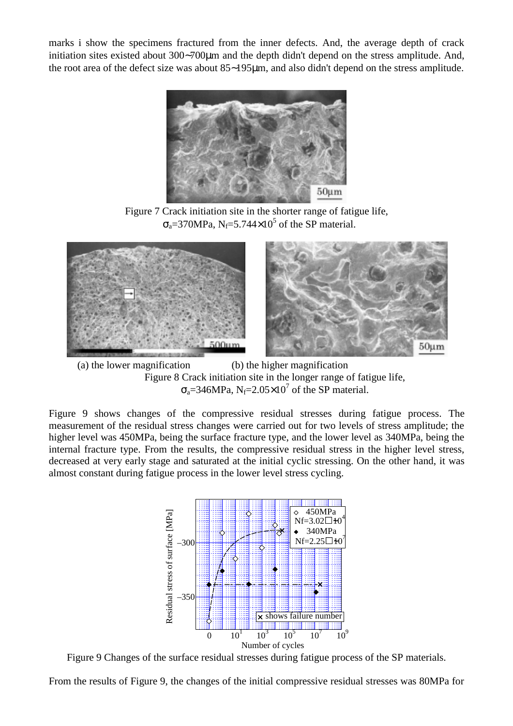marks i show the specimens fractured from the inner defects. And, the average depth of crack initiation sites existed about 300∼700µm and the depth didn't depend on the stress amplitude. And, the root area of the defect size was about 85∼195µm, and also didn't depend on the stress amplitude.



Figure 7 Crack initiation site in the shorter range of fatigue life,  $\sigma_{a}$ =370MPa, N<sub>f</sub>=5.744×10<sup>5</sup> of the SP material.



 (a) the lower magnification (b) the higher magnification Figure 8 Crack initiation site in the longer range of fatigue life,  $\sigma_{a} = 346 MPa$ , N<sub>f</sub> $= 2.05 \times 10^{7}$  of the SP material.

Figure 9 shows changes of the compressive residual stresses during fatigue process. The measurement of the residual stress changes were carried out for two levels of stress amplitude; the higher level was 450MPa, being the surface fracture type, and the lower level as 340MPa, being the internal fracture type. From the results, the compressive residual stress in the higher level stress, decreased at very early stage and saturated at the initial cyclic stressing. On the other hand, it was almost constant during fatigue process in the lower level stress cycling.



Figure 9 Changes of the surface residual stresses during fatigue process of the SP materials.

From the results of Figure 9, the changes of the initial compressive residual stresses was 80MPa for